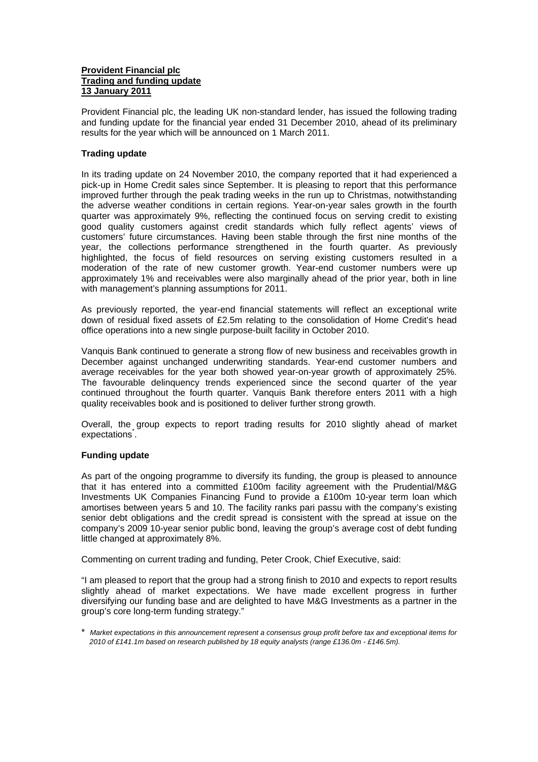## **Provident Financial plc Trading and funding update 13 January 2011**

Provident Financial plc, the leading UK non-standard lender, has issued the following trading and funding update for the financial year ended 31 December 2010, ahead of its preliminary results for the year which will be announced on 1 March 2011.

## **Trading update**

In its trading update on 24 November 2010, the company reported that it had experienced a pick-up in Home Credit sales since September. It is pleasing to report that this performance improved further through the peak trading weeks in the run up to Christmas, notwithstanding the adverse weather conditions in certain regions. Year-on-year sales growth in the fourth quarter was approximately 9%, reflecting the continued focus on serving credit to existing good quality customers against credit standards which fully reflect agents' views of customers' future circumstances. Having been stable through the first nine months of the year, the collections performance strengthened in the fourth quarter. As previously highlighted, the focus of field resources on serving existing customers resulted in a moderation of the rate of new customer growth. Year-end customer numbers were up approximately 1% and receivables were also marginally ahead of the prior year, both in line with management's planning assumptions for 2011.

As previously reported, the year-end financial statements will reflect an exceptional write down of residual fixed assets of £2.5m relating to the consolidation of Home Credit's head office operations into a new single purpose-built facility in October 2010.

Vanquis Bank continued to generate a strong flow of new business and receivables growth in December against unchanged underwriting standards. Year-end customer numbers and average receivables for the year both showed year-on-year growth of approximately 25%. The favourable delinquency trends experienced since the second quarter of the year continued throughout the fourth quarter. Vanquis Bank therefore enters 2011 with a high quality receivables book and is positioned to deliver further strong growth.

Overall, the group expects to report trading results for 2010 slightly ahead of market expectations<sup>\*</sup>.

## **Funding update**

As part of the ongoing programme to diversify its funding, the group is pleased to announce that it has entered into a committed £100m facility agreement with the Prudential/M&G Investments UK Companies Financing Fund to provide a £100m 10-year term loan which amortises between years 5 and 10. The facility ranks pari passu with the company's existing senior debt obligations and the credit spread is consistent with the spread at issue on the company's 2009 10-year senior public bond, leaving the group's average cost of debt funding little changed at approximately 8%.

Commenting on current trading and funding, Peter Crook, Chief Executive, said:

"I am pleased to report that the group had a strong finish to 2010 and expects to report results slightly ahead of market expectations. We have made excellent progress in further diversifying our funding base and are delighted to have M&G Investments as a partner in the group's core long-term funding strategy."

\* *Market expectations in this announcement represent a consensus group profit before tax and exceptional items for 2010 of £141.1m based on research published by 18 equity analysts (range £136.0m - £146.5m).*